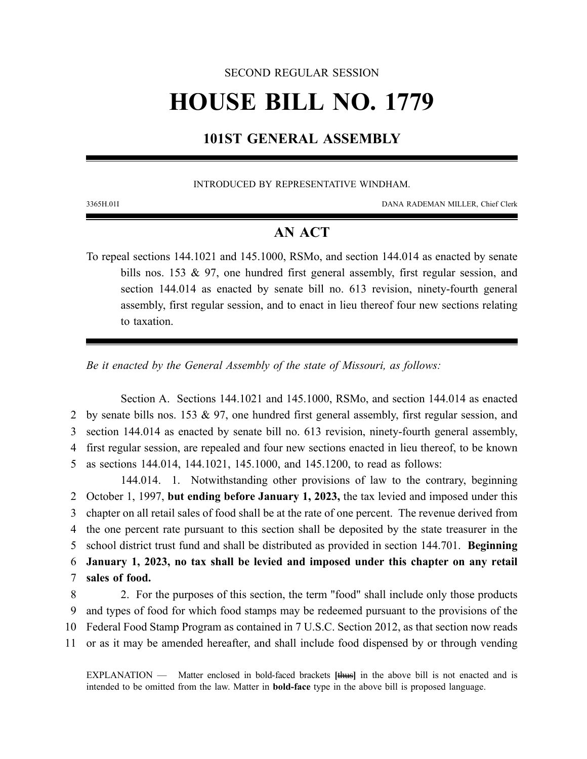#### SECOND REGULAR SESSION

# **HOUSE BILL NO. 1779**

### **101ST GENERAL ASSEMBLY**

#### INTRODUCED BY REPRESENTATIVE WINDHAM.

3365H.01I DANA RADEMAN MILLER, Chief Clerk

## **AN ACT**

To repeal sections 144.1021 and 145.1000, RSMo, and section 144.014 as enacted by senate bills nos. 153 & 97, one hundred first general assembly, first regular session, and section 144.014 as enacted by senate bill no. 613 revision, ninety-fourth general assembly, first regular session, and to enact in lieu thereof four new sections relating to taxation.

*Be it enacted by the General Assembly of the state of Missouri, as follows:*

Section A. Sections 144.1021 and 145.1000, RSMo, and section 144.014 as enacted 2 by senate bills nos. 153 & 97, one hundred first general assembly, first regular session, and 3 section 144.014 as enacted by senate bill no. 613 revision, ninety-fourth general assembly, 4 first regular session, are repealed and four new sections enacted in lieu thereof, to be known 5 as sections 144.014, 144.1021, 145.1000, and 145.1200, to read as follows:

144.014. 1. Notwithstanding other provisions of law to the contrary, beginning October 1, 1997, **but ending before January 1, 2023,** the tax levied and imposed under this chapter on all retail sales of food shall be at the rate of one percent. The revenue derived from the one percent rate pursuant to this section shall be deposited by the state treasurer in the school district trust fund and shall be distributed as provided in section 144.701. **Beginning January 1, 2023, no tax shall be levied and imposed under this chapter on any retail sales of food.**

 2. For the purposes of this section, the term "food" shall include only those products and types of food for which food stamps may be redeemed pursuant to the provisions of the Federal Food Stamp Program as contained in 7 U.S.C. Section 2012, as that section now reads or as it may be amended hereafter, and shall include food dispensed by or through vending

EXPLANATION — Matter enclosed in bold-faced brackets **[**thus**]** in the above bill is not enacted and is intended to be omitted from the law. Matter in **bold-face** type in the above bill is proposed language.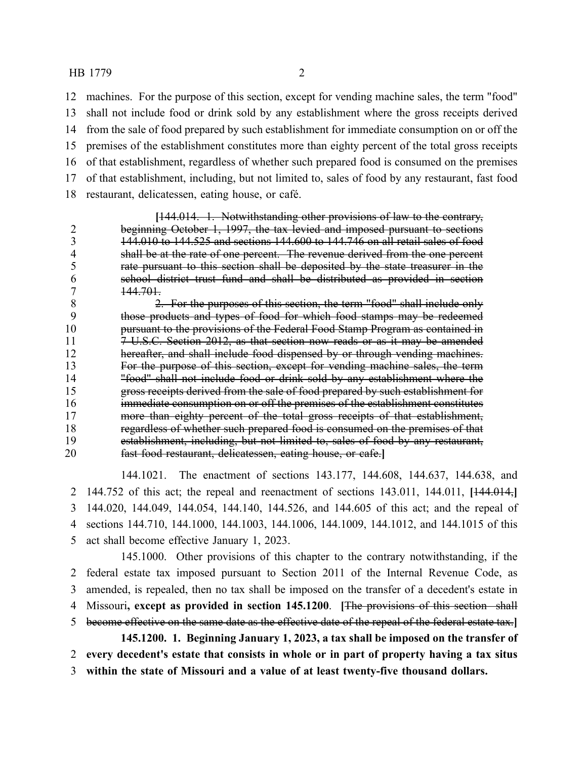#### HB 1779 2

 machines. For the purpose of this section, except for vending machine sales, the term "food" shall not include food or drink sold by any establishment where the gross receipts derived from the sale of food prepared by such establishment for immediate consumption on or off the premises of the establishment constitutes more than eighty percent of the total gross receipts of that establishment, regardless of whether such prepared food is consumed on the premises of that establishment, including, but not limited to, sales of food by any restaurant, fast food restaurant, delicatessen, eating house, or café.

**[**144.014. 1. Notwithstanding other provisions of law to the contrary, beginning October 1, 1997, the tax levied and imposed pursuant to sections 3 144.010 to 144.525 and sections 144.600 to 144.746 on all retail sales of food<br>4 shall be at the rate of one percent. The revenue derived from the one percent shall be at the rate of one percent. The revenue derived from the one percent rate pursuant to this section shall be deposited by the state treasurer in the school district trust fund and shall be distributed as provided in section 144.701.

8 2. For the purposes of this section, the term "food" shall include only<br>9 those products and types of food for which food stamps may be redeemed those products and types of food for which food stamps may be redeemed pursuant to the provisions of the Federal Food Stamp Program as contained in 11 7 U.S.C. Section 2012, as that section now reads or as it may be amended hereafter, and shall include food dispensed by or through vending machines. For the purpose of this section, except for vending machine sales, the term "food" shall not include food or drink sold by any establishment where the gross receipts derived from the sale of food prepared by such establishment for immediate consumption on or off the premises of the establishment constitutes more than eighty percent of the total gross receipts of that establishment, regardless of whether such prepared food is consumed on the premises of that establishment, including, but not limited to, sales of food by any restaurant, fast food restaurant, delicatessen, eating house, or cafe.**]**

144.1021. The enactment of sections 143.177, 144.608, 144.637, 144.638, and 144.752 of this act; the repeal and reenactment of sections 143.011, 144.011, **[**144.014,**]** 144.020, 144.049, 144.054, 144.140, 144.526, and 144.605 of this act; and the repeal of sections 144.710, 144.1000, 144.1003, 144.1006, 144.1009, 144.1012, and 144.1015 of this act shall become effective January 1, 2023.

145.1000. Other provisions of this chapter to the contrary notwithstanding, if the federal estate tax imposed pursuant to Section 2011 of the Internal Revenue Code, as amended, is repealed, then no tax shall be imposed on the transfer of a decedent's estate in Missouri**, except as provided in section 145.1200**. **[**The provisions of this section shall become effective on the same date as the effective date of the repeal of the federal estate tax.**] 145.1200. 1. Beginning January 1, 2023, a tax shall be imposed on the transfer of**

 **every decedent's estate that consists in whole or in part of property having a tax situs within the state of Missouri and a value of at least twenty-five thousand dollars.**